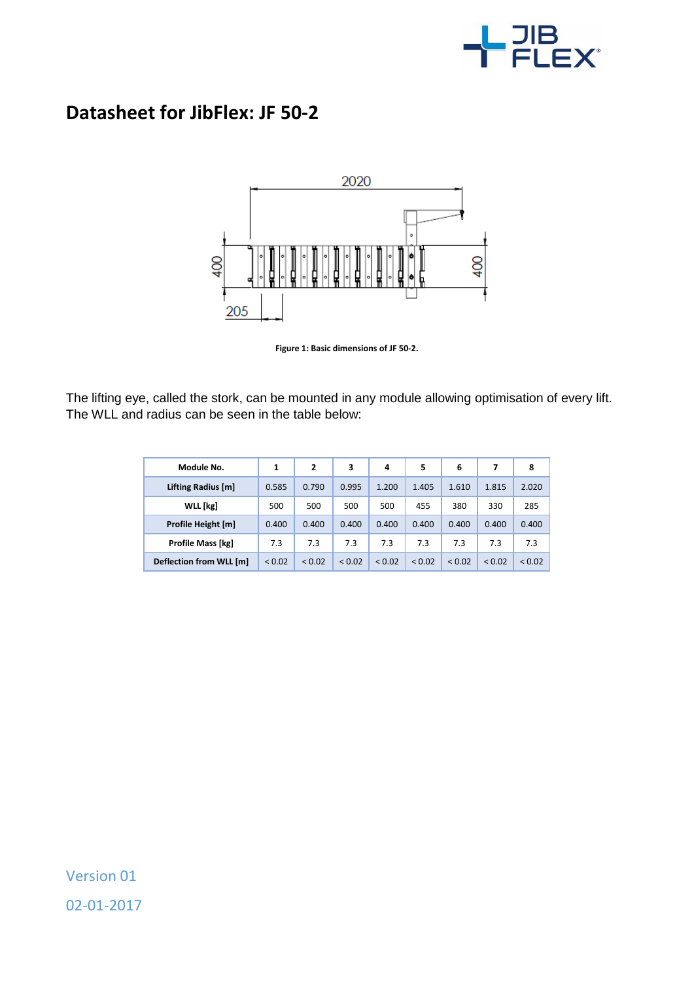

## **Datasheet for JibFlex: JF 50-2**



**Figure 1: Basic dimensions of JF 50-2.**

The lifting eye, called the stork, can be mounted in any module allowing optimisation of every lift. The WLL and radius can be seen in the table below:

| Module No.              | 1      | 2      | 3      | 4      | 5      | 6      | 7      | 8      |
|-------------------------|--------|--------|--------|--------|--------|--------|--------|--------|
| Lifting Radius [m]      | 0.585  | 0.790  | 0.995  | 1.200  | 1.405  | 1.610  | 1.815  | 2.020  |
| <b>WLL</b> [kg]         | 500    | 500    | 500    | 500    | 455    | 380    | 330    | 285    |
| Profile Height [m]      | 0.400  | 0.400  | 0.400  | 0.400  | 0.400  | 0.400  | 0.400  | 0.400  |
| Profile Mass [kg]       | 7.3    | 7.3    | 7.3    | 7.3    | 7.3    | 7.3    | 7.3    | 7.3    |
| Deflection from WLL [m] | < 0.02 | < 0.02 | < 0.02 | < 0.02 | < 0.02 | < 0.02 | < 0.02 | < 0.02 |